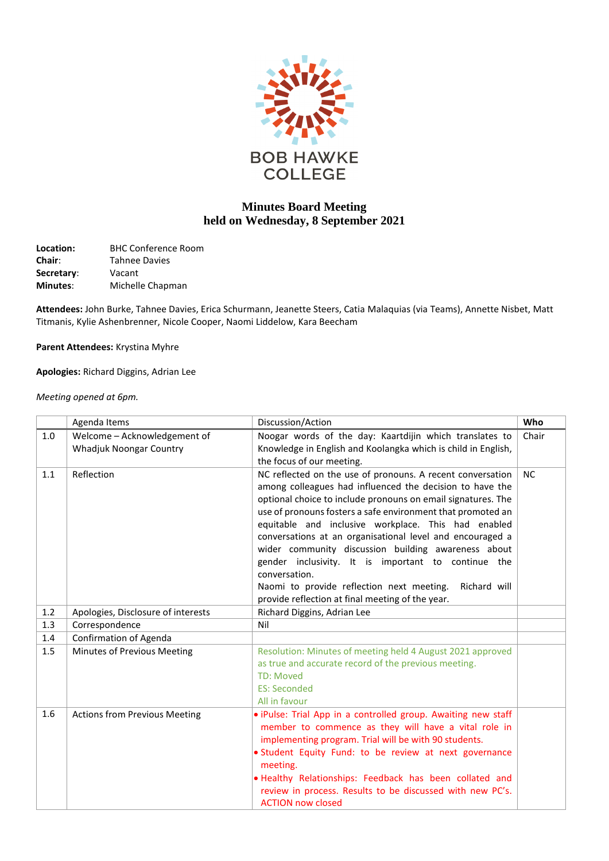

## **Minutes Board Meeting held on Wednesday, 8 September 2021**

| Location:       | <b>BHC Conference Room</b> |
|-----------------|----------------------------|
| <b>Chair:</b>   | <b>Tahnee Davies</b>       |
| Secretary:      | Vacant                     |
| <b>Minutes:</b> | Michelle Chapman           |

**Attendees:** John Burke, Tahnee Davies, Erica Schurmann, Jeanette Steers, Catia Malaquias (via Teams), Annette Nisbet, Matt Titmanis, Kylie Ashenbrenner, Nicole Cooper, Naomi Liddelow, Kara Beecham

**Parent Attendees:** Krystina Myhre

**Apologies:** Richard Diggins, Adrian Lee

*Meeting opened at 6pm.*

|     | Agenda Items                                                   | Discussion/Action                                                                                                                                                                                                                                                                                                                                                                                                                                                                                                                                                                                                         | Who   |
|-----|----------------------------------------------------------------|---------------------------------------------------------------------------------------------------------------------------------------------------------------------------------------------------------------------------------------------------------------------------------------------------------------------------------------------------------------------------------------------------------------------------------------------------------------------------------------------------------------------------------------------------------------------------------------------------------------------------|-------|
| 1.0 | Welcome - Acknowledgement of<br><b>Whadjuk Noongar Country</b> | Noogar words of the day: Kaartdijin which translates to<br>Knowledge in English and Koolangka which is child in English,<br>the focus of our meeting.                                                                                                                                                                                                                                                                                                                                                                                                                                                                     | Chair |
| 1.1 | Reflection                                                     | NC reflected on the use of pronouns. A recent conversation<br>among colleagues had influenced the decision to have the<br>optional choice to include pronouns on email signatures. The<br>use of pronouns fosters a safe environment that promoted an<br>equitable and inclusive workplace. This had enabled<br>conversations at an organisational level and encouraged a<br>wider community discussion building awareness about<br>gender inclusivity. It is important to continue the<br>conversation.<br>Naomi to provide reflection next meeting.<br>Richard will<br>provide reflection at final meeting of the year. | NC    |
| 1.2 | Apologies, Disclosure of interests                             | Richard Diggins, Adrian Lee                                                                                                                                                                                                                                                                                                                                                                                                                                                                                                                                                                                               |       |
| 1.3 | Correspondence                                                 | Nil                                                                                                                                                                                                                                                                                                                                                                                                                                                                                                                                                                                                                       |       |
| 1.4 | <b>Confirmation of Agenda</b>                                  |                                                                                                                                                                                                                                                                                                                                                                                                                                                                                                                                                                                                                           |       |
| 1.5 | Minutes of Previous Meeting                                    | Resolution: Minutes of meeting held 4 August 2021 approved<br>as true and accurate record of the previous meeting.<br><b>TD: Moved</b><br><b>ES: Seconded</b><br>All in favour                                                                                                                                                                                                                                                                                                                                                                                                                                            |       |
| 1.6 | <b>Actions from Previous Meeting</b>                           | · iPulse: Trial App in a controlled group. Awaiting new staff<br>member to commence as they will have a vital role in<br>implementing program. Trial will be with 90 students.<br>· Student Equity Fund: to be review at next governance<br>meeting.<br>. Healthy Relationships: Feedback has been collated and<br>review in process. Results to be discussed with new PC's.<br><b>ACTION now closed</b>                                                                                                                                                                                                                  |       |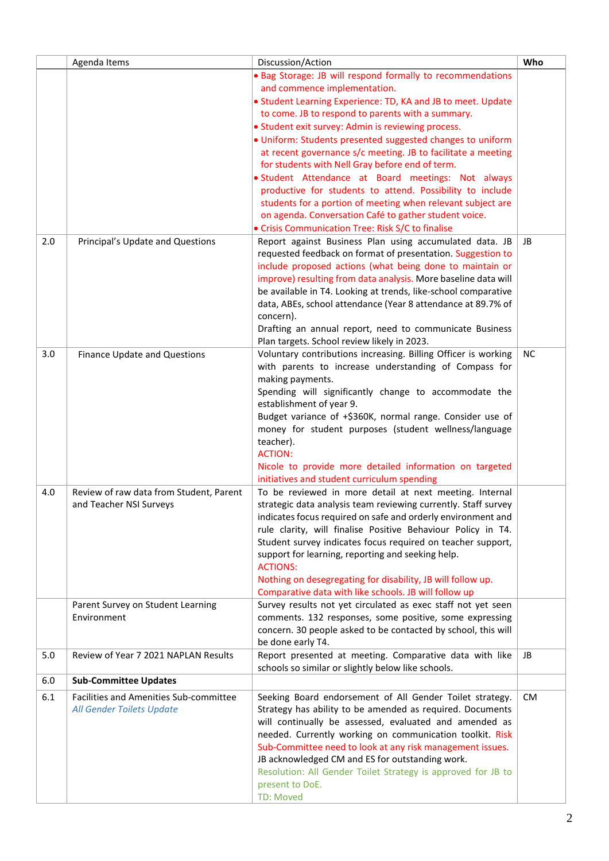|     | Agenda Items                            | Discussion/Action                                                                                                          | Who       |
|-----|-----------------------------------------|----------------------------------------------------------------------------------------------------------------------------|-----------|
|     |                                         | . Bag Storage: JB will respond formally to recommendations                                                                 |           |
|     |                                         | and commence implementation.                                                                                               |           |
|     |                                         | • Student Learning Experience: TD, KA and JB to meet. Update                                                               |           |
|     |                                         | to come. JB to respond to parents with a summary.                                                                          |           |
|     |                                         | • Student exit survey: Admin is reviewing process.                                                                         |           |
|     |                                         | . Uniform: Students presented suggested changes to uniform<br>at recent governance s/c meeting. JB to facilitate a meeting |           |
|     |                                         | for students with Nell Gray before end of term.                                                                            |           |
|     |                                         | · Student Attendance at Board meetings: Not always                                                                         |           |
|     |                                         | productive for students to attend. Possibility to include                                                                  |           |
|     |                                         | students for a portion of meeting when relevant subject are                                                                |           |
|     |                                         | on agenda. Conversation Café to gather student voice.                                                                      |           |
|     |                                         | · Crisis Communication Tree: Risk S/C to finalise                                                                          |           |
| 2.0 | Principal's Update and Questions        | Report against Business Plan using accumulated data. JB                                                                    | JB        |
|     |                                         | requested feedback on format of presentation. Suggestion to                                                                |           |
|     |                                         | include proposed actions (what being done to maintain or                                                                   |           |
|     |                                         | improve) resulting from data analysis. More baseline data will                                                             |           |
|     |                                         | be available in T4. Looking at trends, like-school comparative                                                             |           |
|     |                                         | data, ABEs, school attendance (Year 8 attendance at 89.7% of<br>concern).                                                  |           |
|     |                                         | Drafting an annual report, need to communicate Business                                                                    |           |
|     |                                         | Plan targets. School review likely in 2023.                                                                                |           |
| 3.0 | <b>Finance Update and Questions</b>     | Voluntary contributions increasing. Billing Officer is working                                                             | <b>NC</b> |
|     |                                         | with parents to increase understanding of Compass for                                                                      |           |
|     |                                         | making payments.                                                                                                           |           |
|     |                                         | Spending will significantly change to accommodate the                                                                      |           |
|     |                                         | establishment of year 9.                                                                                                   |           |
|     |                                         | Budget variance of +\$360K, normal range. Consider use of                                                                  |           |
|     |                                         | money for student purposes (student wellness/language                                                                      |           |
|     |                                         | teacher).<br><b>ACTION:</b>                                                                                                |           |
|     |                                         | Nicole to provide more detailed information on targeted                                                                    |           |
|     |                                         | initiatives and student curriculum spending                                                                                |           |
| 4.0 | Review of raw data from Student, Parent | To be reviewed in more detail at next meeting. Internal                                                                    |           |
|     | and Teacher NSI Surveys                 | strategic data analysis team reviewing currently. Staff survey                                                             |           |
|     |                                         | indicates focus required on safe and orderly environment and                                                               |           |
|     |                                         | rule clarity, will finalise Positive Behaviour Policy in T4.                                                               |           |
|     |                                         | Student survey indicates focus required on teacher support,                                                                |           |
|     |                                         | support for learning, reporting and seeking help.                                                                          |           |
|     |                                         | <b>ACTIONS:</b>                                                                                                            |           |
|     |                                         | Nothing on desegregating for disability, JB will follow up.                                                                |           |
|     | Parent Survey on Student Learning       | Comparative data with like schools. JB will follow up<br>Survey results not yet circulated as exec staff not yet seen      |           |
|     | Environment                             | comments. 132 responses, some positive, some expressing                                                                    |           |
|     |                                         | concern. 30 people asked to be contacted by school, this will                                                              |           |
|     |                                         | be done early T4.                                                                                                          |           |
| 5.0 | Review of Year 7 2021 NAPLAN Results    | Report presented at meeting. Comparative data with like                                                                    | JB        |
|     |                                         | schools so similar or slightly below like schools.                                                                         |           |
| 6.0 | <b>Sub-Committee Updates</b>            |                                                                                                                            |           |
| 6.1 | Facilities and Amenities Sub-committee  | Seeking Board endorsement of All Gender Toilet strategy.                                                                   | <b>CM</b> |
|     | All Gender Toilets Update               | Strategy has ability to be amended as required. Documents                                                                  |           |
|     |                                         | will continually be assessed, evaluated and amended as                                                                     |           |
|     |                                         | needed. Currently working on communication toolkit. Risk                                                                   |           |
|     |                                         | Sub-Committee need to look at any risk management issues.                                                                  |           |
|     |                                         | JB acknowledged CM and ES for outstanding work.<br>Resolution: All Gender Toilet Strategy is approved for JB to            |           |
|     |                                         | present to DoE.                                                                                                            |           |
|     |                                         | <b>TD: Moved</b>                                                                                                           |           |